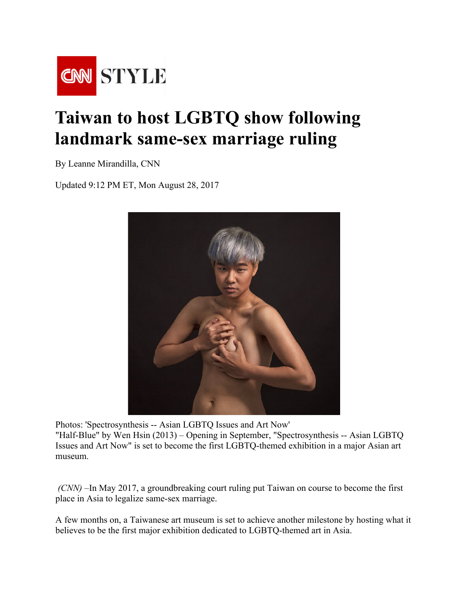

## **Taiwan to host LGBTQ show following landmark same-sex marriage ruling**

By Leanne Mirandilla, CNN

Updated 9:12 PM ET, Mon August 28, 2017



Photos: 'Spectrosynthesis -- Asian LGBTQ Issues and Art Now' "Half-Blue" by Wen Hsin (2013) – Opening in September, "Spectrosynthesis -- Asian LGBTQ Issues and Art Now" is set to become the first LGBTQ-themed exhibition in a major Asian art museum.

 *(CNN) –*In May 2017, a groundbreaking court ruling put Taiwan on course to become the first place in Asia to legalize same-sex marriage.

A few months on, a Taiwanese art museum is set to achieve another milestone by hosting what it believes to be the first major exhibition dedicated to LGBTQ-themed art in Asia.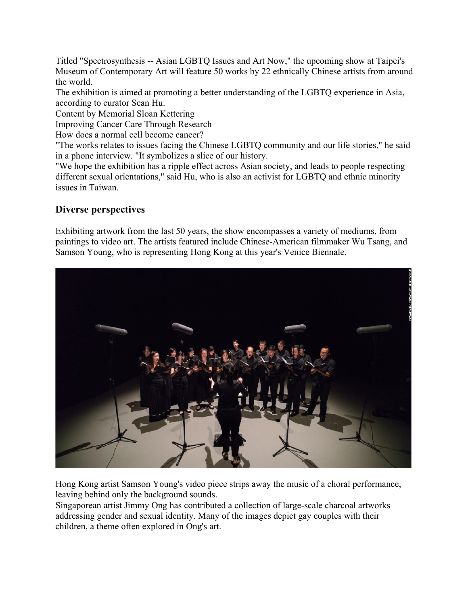Titled "Spectrosynthesis -- Asian LGBTQ Issues and Art Now," the upcoming show at Taipei's Museum of Contemporary Art will feature 50 works by 22 ethnically Chinese artists from around the world.

The exhibition is aimed at promoting a better understanding of the LGBTQ experience in Asia, according to curator Sean Hu.

Content by Memorial Sloan Kettering

Improving Cancer Care Through Research

How does a normal cell become cancer?

"The works relates to issues facing the Chinese LGBTQ community and our life stories," he said in a phone interview. "It symbolizes a slice of our history.

"We hope the exhibition has a ripple effect across Asian society, and leads to people respecting different sexual orientations," said Hu, who is also an activist for LGBTQ and ethnic minority issues in Taiwan.

## **Diverse perspectives**

Exhibiting artwork from the last 50 years, the show encompasses a variety of mediums, from paintings to video art. The artists featured include Chinese-American filmmaker Wu Tsang, and Samson Young, who is representing Hong Kong at this year's Venice Biennale.



Hong Kong artist Samson Young's video piece strips away the music of a choral performance, leaving behind only the background sounds.

Singaporean artist Jimmy Ong has contributed a collection of large-scale charcoal artworks addressing gender and sexual identity. Many of the images depict gay couples with their children, a theme often explored in Ong's art.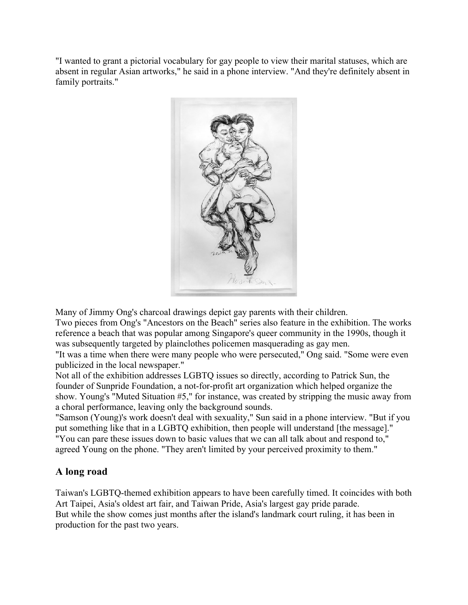"I wanted to grant a pictorial vocabulary for gay people to view their marital statuses, which are absent in regular Asian artworks," he said in a phone interview. "And they're definitely absent in family portraits."



Many of Jimmy Ong's charcoal drawings depict gay parents with their children.

Two pieces from Ong's "Ancestors on the Beach" series also feature in the exhibition. The works reference a beach that was popular among Singapore's queer community in the 1990s, though it was subsequently targeted by plainclothes policemen masquerading as gay men.

"It was a time when there were many people who were persecuted," Ong said. "Some were even publicized in the local newspaper."

Not all of the exhibition addresses LGBTQ issues so directly, according to Patrick Sun, the founder of Sunpride Foundation, a not-for-profit art organization which helped organize the show. Young's "Muted Situation #5," for instance, was created by stripping the music away from a choral performance, leaving only the background sounds.

"Samson (Young)'s work doesn't deal with sexuality," Sun said in a phone interview. "But if you put something like that in a LGBTQ exhibition, then people will understand [the message]." "You can pare these issues down to basic values that we can all talk about and respond to," agreed Young on the phone. "They aren't limited by your perceived proximity to them."

## **A long road**

Taiwan's LGBTQ-themed exhibition appears to have been carefully timed. It coincides with both Art Taipei, Asia's oldest art fair, and Taiwan Pride, Asia's largest gay pride parade. But while the show comes just months after the island's landmark court ruling, it has been in production for the past two years.